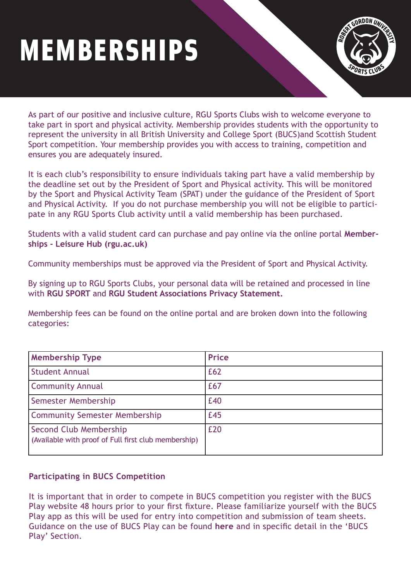## MEMBERSHIPS



As part of our positive and inclusive culture, RGU Sports Clubs wish to welcome everyone to take part in sport and physical activity. Membership provides students with the opportunity to represent the university in all British University and College Sport (BUCS)and Scottish Student Sport competition. Your membership provides you with access to training, competition and ensures you are adequately insured.

It is each club's responsibility to ensure individuals taking part have a valid membership by the deadline set out by the President of Sport and Physical activity. This will be monitored by the Sport and Physical Activity Team (SPAT) under the guidance of the President of Sport and Physical Activity. If you do not purchase membership you will not be eligible to participate in any RGU Sports Club activity until a valid membership has been purchased.

[Students with a valid student card can purchase and pay online via the online portal](https://myrgusport.rgu.ac.uk/LhWeb/en/Public/Home/Memberships) **Memberships - Leisure Hub (rgu.ac.uk)** 

Community memberships must be approved via the President of Sport and Physical Activity.

By signing up to RGU Sports Clubs, your personal data will be retained and processed in line with **[RGU SPORT](https://myrgusport.rgu.ac.uk/LhWeb/en/Public/Home/Memberships)** and **[RGU Student Associations Privacy Statement.](https://www.rguunion.co.uk/pageassets/tac/RGU-Union-Privacy-Statement-final-version.pdf)**

Membership fees can be found on the online portal and are broken down into the following categories:

| <b>Membership Type</b>                                                         | <b>Price</b> |
|--------------------------------------------------------------------------------|--------------|
| <b>Student Annual</b>                                                          | £62          |
| <b>Community Annual</b>                                                        | £67          |
| Semester Membership                                                            | £40          |
| <b>Community Semester Membership</b>                                           | £45          |
| Second Club Membership<br>(Available with proof of Full first club membership) | £20          |

## **Participating in BUCS Competition**

It is important that in order to compete in BUCS competition you register with the BUCS Play website 48 hours prior to your first fixture. Please familiarize yourself with the BUCS Play app as this will be used for entry into competition and submission of team sheets. Guidance on the use of BUCS Play can be found **[here](https://bucsappsupport.zendesk.com/hc/en-gb)** and in specific detail in the 'BUCS Play' Section.